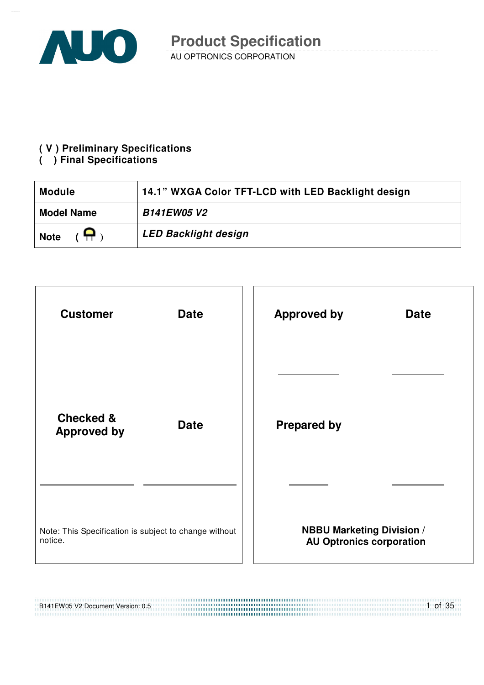

#### **( V ) Preliminary Specifications**

#### **( ) Final Specifications**

| 14.1" WXGA Color TFT-LCD with LED Backlight design<br><b>Module</b> |                             |  |
|---------------------------------------------------------------------|-----------------------------|--|
| <b>B141EW05 V2</b><br><b>Model Name</b>                             |                             |  |
| $(\bigoplus)$<br><b>Note</b>                                        | <b>LED Backlight design</b> |  |



#### B141EW05 V2 Document Version: 0.5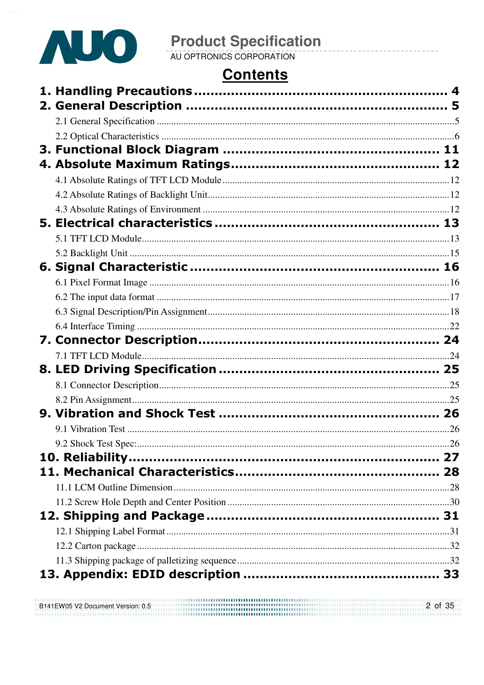

### **Contents**

|  | 26 |
|--|----|
|  |    |
|  |    |
|  |    |
|  |    |
|  |    |
|  |    |
|  |    |
|  |    |
|  |    |
|  |    |

B141EW05 V2 Document Version: 0.5 2 of 35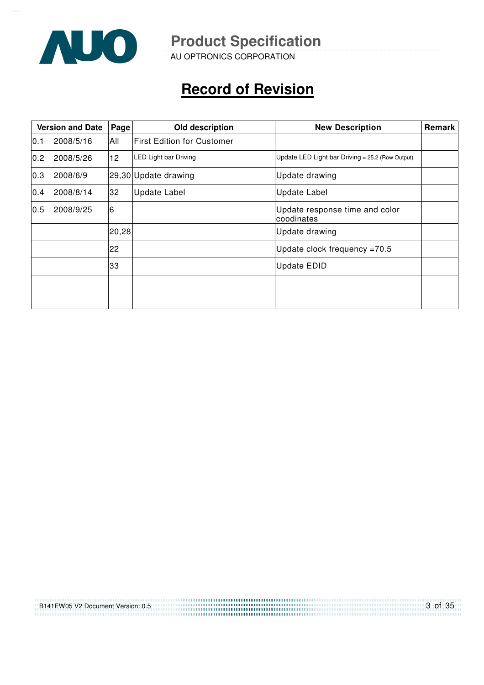

AU OPTRONICS CORPORATION

# **Record of Revision**

| <b>Version and Date</b> |           | Page  | Old description                   | <b>New Description</b>                             | Remark |
|-------------------------|-----------|-------|-----------------------------------|----------------------------------------------------|--------|
| 0.1                     | 2008/5/16 | All   | <b>First Edition for Customer</b> |                                                    |        |
| 0.2                     | 2008/5/26 | 12    | LED Light bar Driving             | Update LED Light bar Driving = $25.2$ (Row Output) |        |
| 0.3                     | 2008/6/9  |       | 29,30 Update drawing              | Update drawing                                     |        |
| 0.4                     | 2008/8/14 | 32    | <b>Update Label</b>               | <b>Update Label</b>                                |        |
| 0.5                     | 2008/9/25 | 6     |                                   | Update response time and color<br>coodinates       |        |
|                         |           | 20,28 |                                   | Update drawing                                     |        |
|                         |           | 22    |                                   | Update clock frequency $=70.5$                     |        |
|                         |           | 33    |                                   | <b>Update EDID</b>                                 |        |
|                         |           |       |                                   |                                                    |        |
|                         |           |       |                                   |                                                    |        |

| B141EW05 V2 Document Version: 0.5 | 3 of 35 |
|-----------------------------------|---------|
|                                   |         |
|                                   |         |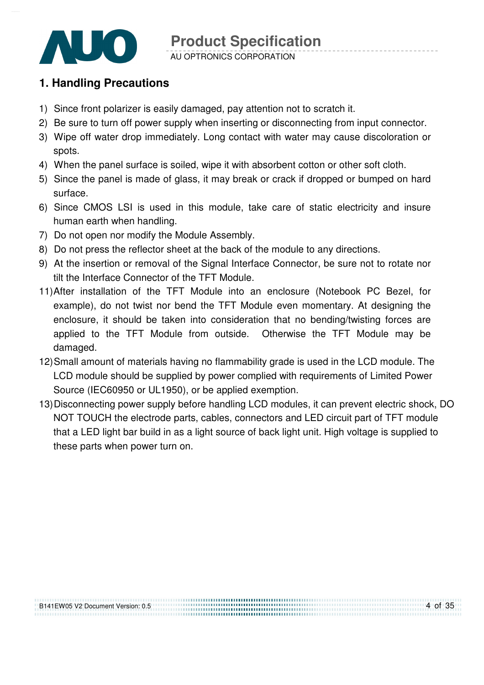

AU OPTRONICS CORPORATION

### **1. Handling Precautions**

- 1) Since front polarizer is easily damaged, pay attention not to scratch it.
- 2) Be sure to turn off power supply when inserting or disconnecting from input connector.
- 3) Wipe off water drop immediately. Long contact with water may cause discoloration or spots.
- 4) When the panel surface is soiled, wipe it with absorbent cotton or other soft cloth.
- 5) Since the panel is made of glass, it may break or crack if dropped or bumped on hard surface.
- 6) Since CMOS LSI is used in this module, take care of static electricity and insure human earth when handling.
- 7) Do not open nor modify the Module Assembly.
- 8) Do not press the reflector sheet at the back of the module to any directions.
- 9) At the insertion or removal of the Signal Interface Connector, be sure not to rotate nor tilt the Interface Connector of the TFT Module.
- 11) After installation of the TFT Module into an enclosure (Notebook PC Bezel, for example), do not twist nor bend the TFT Module even momentary. At designing the enclosure, it should be taken into consideration that no bending/twisting forces are applied to the TFT Module from outside. Otherwise the TFT Module may be damaged.
- 12) Small amount of materials having no flammability grade is used in the LCD module. The LCD module should be supplied by power complied with requirements of Limited Power Source (IEC60950 or UL1950), or be applied exemption.
- 13) Disconnecting power supply before handling LCD modules, it can prevent electric shock, DO NOT TOUCH the electrode parts, cables, connectors and LED circuit part of TFT module that a LED light bar build in as a light source of back light unit. High voltage is supplied to these parts when power turn on.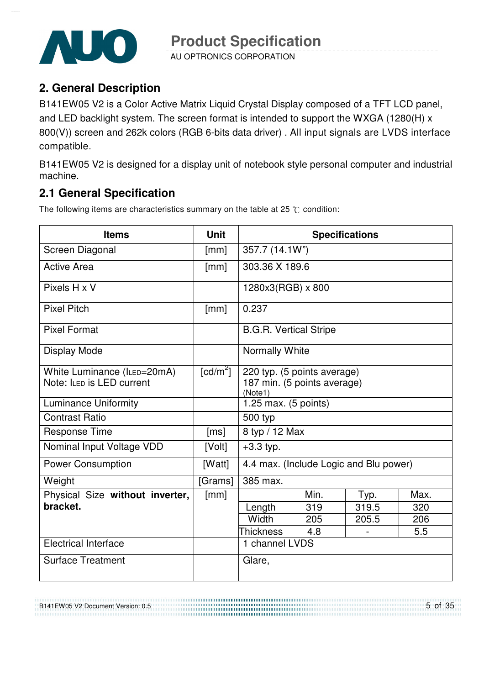

AU OPTRONICS CORPORATION

### **2. General Description**

B141EW05 V2 is a Color Active Matrix Liquid Crystal Display composed of a TFT LCD panel, and LED backlight system. The screen format is intended to support the WXGA (1280(H) x 800(V)) screen and 262k colors (RGB 6-bits data driver) . All input signals are LVDS interface compatible.

B141EW05 V2 is designed for a display unit of notebook style personal computer and industrial machine.

### **2.1 General Specification**

The following items are characteristics summary on the table at 25  $\degree$ C condition:

| <b>Items</b>                    | <b>Unit</b>            |                                        | <b>Specifications</b>                  |       |      |  |
|---------------------------------|------------------------|----------------------------------------|----------------------------------------|-------|------|--|
| Screen Diagonal                 | [mm]                   | 357.7 (14.1W")                         |                                        |       |      |  |
| <b>Active Area</b>              | [mm]                   | 303.36 X 189.6                         |                                        |       |      |  |
| Pixels H x V                    |                        | 1280x3(RGB) x 800                      |                                        |       |      |  |
| <b>Pixel Pitch</b>              | [mm]                   | 0.237                                  |                                        |       |      |  |
| <b>Pixel Format</b>             |                        | <b>B.G.R. Vertical Stripe</b>          |                                        |       |      |  |
| Display Mode                    |                        | Normally White                         |                                        |       |      |  |
| White Luminance (ILED=20mA)     | $\lceil cd/m^2 \rceil$ |                                        | 220 typ. (5 points average)            |       |      |  |
| Note: ILED is LED current       |                        | 187 min. (5 points average)<br>(Note1) |                                        |       |      |  |
| <b>Luminance Uniformity</b>     |                        | 1.25 max. (5 points)                   |                                        |       |      |  |
| <b>Contrast Ratio</b>           |                        | 500 typ                                |                                        |       |      |  |
| <b>Response Time</b>            | [ms]                   | 8 typ / 12 Max                         |                                        |       |      |  |
| Nominal Input Voltage VDD       | [Volt]                 | $+3.3$ typ.                            |                                        |       |      |  |
| <b>Power Consumption</b>        | [Watt]                 |                                        | 4.4 max. (Include Logic and Blu power) |       |      |  |
| Weight                          | [Grams]                | 385 max.                               |                                        |       |      |  |
| Physical Size without inverter, | [mm]                   |                                        | Min.                                   | Typ.  | Max. |  |
| bracket.                        |                        | Length                                 | 319                                    | 319.5 | 320  |  |
|                                 |                        | Width                                  | 205                                    | 205.5 | 206  |  |
|                                 |                        | <b>Thickness</b>                       | 4.8                                    |       | 5.5  |  |
| <b>Electrical Interface</b>     |                        | 1 channel LVDS                         |                                        |       |      |  |
| <b>Surface Treatment</b>        |                        | Glare,                                 |                                        |       |      |  |

B141EW05 V2 Document Version: 0.5

5 of 35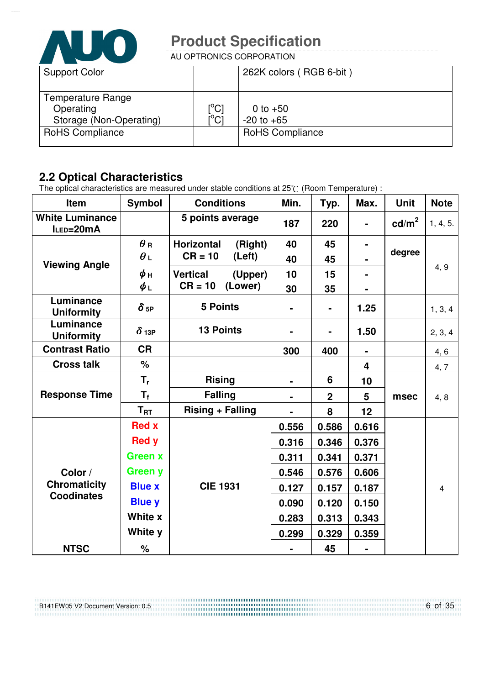

AU OPTRONICS CORPORATION

| <b>Support Color</b>                                      |                                 | 262K colors (RGB 6-bit)      |
|-----------------------------------------------------------|---------------------------------|------------------------------|
| Temperature Range<br>Operating<br>Storage (Non-Operating) | $\rm \left[^{^{\circ}C}\right]$ | 0 to $+50$<br>$-20$ to $+65$ |
| <b>RoHS Compliance</b>                                    |                                 | <b>RoHS Compliance</b>       |

### **2.2 Optical Characteristics**

The optical characteristics are measured under stable conditions at 25 $\degree$  (Room Temperature) :

| Item                                     | <b>Symbol</b>          | <b>Conditions</b>            | Min.           | Typ.           | Max.                    | <b>Unit</b>       | <b>Note</b>    |
|------------------------------------------|------------------------|------------------------------|----------------|----------------|-------------------------|-------------------|----------------|
| <b>White Luminance</b><br>ILED=20mA      |                        | 5 points average             | 187            | 220            |                         | cd/m <sup>2</sup> | 1, 4, 5.       |
|                                          | $\theta$ R             | <b>Horizontal</b><br>(Right) | 40             | 45             | $\blacksquare$          |                   |                |
| <b>Viewing Angle</b>                     | $\theta_L$             | $CR = 10$<br>(Left)          | 40             | 45             |                         | degree            |                |
|                                          | $\phi$ н               | <b>Vertical</b><br>(Upper)   | 10             | 15             |                         |                   | 4, 9           |
|                                          | $\phi_L$               | $CR = 10$<br>(Lower)         | 30             | 35             |                         |                   |                |
| Luminance<br><b>Uniformity</b>           | $\delta$ <sub>5P</sub> | <b>5 Points</b>              |                | $\blacksquare$ | 1.25                    |                   | 1, 3, 4        |
| Luminance<br><b>Uniformity</b>           | $\delta$ 13P           | <b>13 Points</b>             | $\blacksquare$ | $\blacksquare$ | 1.50                    |                   | 2, 3, 4        |
| <b>Contrast Ratio</b>                    | <b>CR</b>              |                              | 300            | 400            | $\blacksquare$          |                   | 4, 6           |
| <b>Cross talk</b>                        | %                      |                              |                |                | $\overline{\mathbf{4}}$ |                   | 4, 7           |
|                                          | $T_{r}$                | <b>Rising</b>                |                | 6              | 10                      | msec              | 4, 8           |
| <b>Response Time</b>                     | $T_{\rm f}$            | <b>Falling</b>               |                | $\mathbf 2$    | 5                       |                   |                |
|                                          | $T_{\rm RT}$           | <b>Rising + Falling</b>      |                | 8              | 12                      |                   |                |
|                                          | <b>Red x</b>           |                              | 0.556          | 0.586          | 0.616                   |                   |                |
|                                          | <b>Red y</b>           |                              | 0.316          | 0.346          | 0.376                   |                   |                |
|                                          | <b>Green x</b>         |                              | 0.311          | 0.341          | 0.371                   |                   |                |
| Color /                                  | <b>Green y</b>         |                              | 0.546          | 0.576          | 0.606                   |                   |                |
| <b>Chromaticity</b><br><b>Coodinates</b> | <b>Blue x</b>          | <b>CIE 1931</b>              | 0.127          | 0.157          | 0.187                   |                   | $\overline{4}$ |
|                                          | <b>Blue y</b>          |                              | 0.090          | 0.120          | 0.150                   |                   |                |
|                                          | White x                |                              | 0.283          | 0.313          | 0.343                   |                   |                |
|                                          | White y                |                              | 0.299          | 0.329          | 0.359                   |                   |                |
| <b>NTSC</b>                              | $\%$                   |                              |                | 45             |                         |                   |                |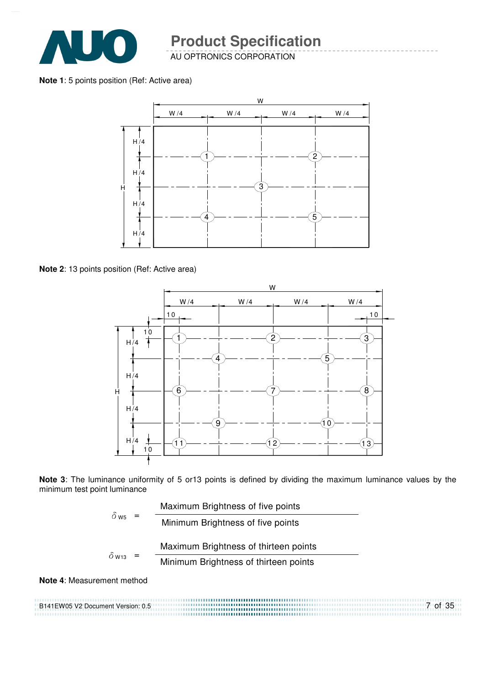

AU OPTRONICS CORPORATION

**Note 1**: 5 points position (Ref: Active area)



**Note 2**: 13 points position (Ref: Active area)



**Note 3**: The luminance uniformity of 5 or13 points is defined by dividing the maximum luminance values by the minimum test point luminance

| $\delta$ ws              |  | Maximum Brightness of five points     |
|--------------------------|--|---------------------------------------|
|                          |  | Minimum Brightness of five points     |
|                          |  | Maximum Brightness of thirteen points |
| $\delta$ W <sub>13</sub> |  | Minimum Brightness of thirteen points |
|                          |  |                                       |

**Note 4**: Measurement method

B141EW05 V2 Document Version: 0.5 7 of 35 ,,,,,,,,,,,,,,,,,,,,,,,,,,,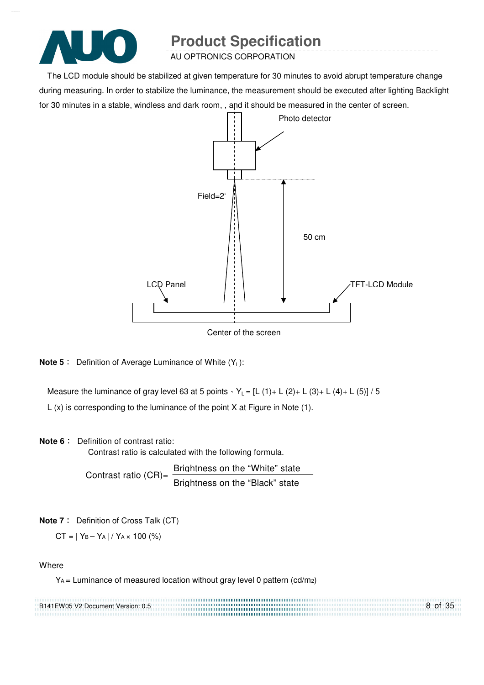

AU OPTRONICS CORPORATION

The LCD module should be stabilized at given temperature for 30 minutes to avoid abrupt temperature change during measuring. In order to stabilize the luminance, the measurement should be executed after lighting Backlight for 30 minutes in a stable, windless and dark room, , and it should be measured in the center of screen.



Center of the screen

**Note 5** : Definition of Average Luminance of White (Y<sub>L</sub>):

Measure the luminance of gray level 63 at 5 points  $Y_L = [L (1) + L (2) + L (3) + L (4) + L (5)] / 5$ L (x) is corresponding to the luminance of the point X at Figure in Note (1).

#### **Note 6** : Definition of contrast ratio:

Contrast ratio is calculated with the following formula.

Contrast ratio  $(CR)$ = Brightness on the "White" state Brightness on the "Black" state

**Note 7** : Definition of Cross Talk (CT)

 $CT = |Y_B - Y_A| / Y_A \times 100$  (%)

**Where** 

YA = Luminance of measured location without gray level 0 pattern (cd/m2)

| B141EW05 V2 Document Version: 0.5 | 8 of 35 |
|-----------------------------------|---------|
|                                   |         |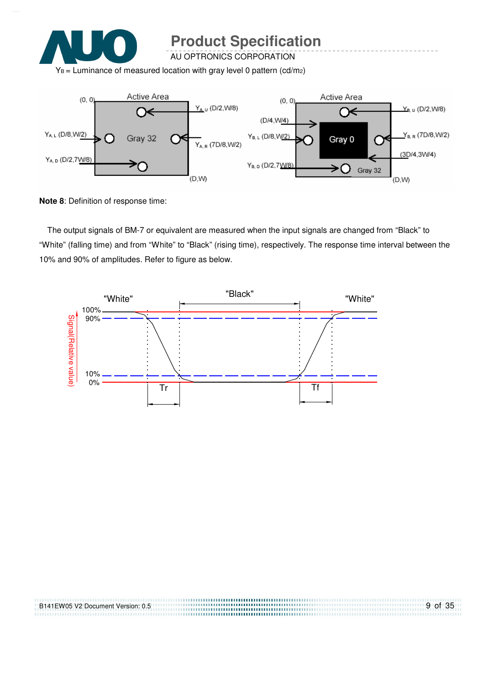

AU OPTRONICS CORPORATION

 $Y_B$  = Luminance of measured location with gray level 0 pattern (cd/m<sub>2</sub>)



**Note 8**: Definition of response time:

The output signals of BM-7 or equivalent are measured when the input signals are changed from "Black" to "White" (falling time) and from "White" to "Black" (rising time), respectively. The response time interval between the 10% and 90% of amplitudes. Refer to figure as below.



| B141EW05 V2 Document Version: 0.5 | 9 of 35 |
|-----------------------------------|---------|
|                                   |         |
|                                   |         |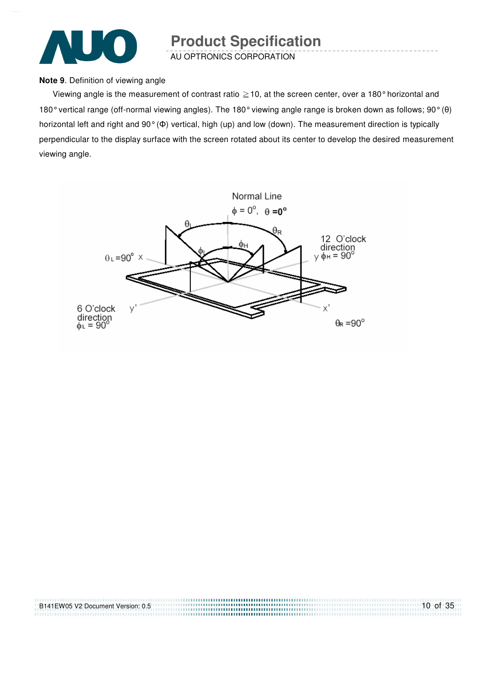

AU OPTRONICS CORPORATION

#### **Note 9**. Definition of viewing angle

Viewing angle is the measurement of contrast ratio  $\geq$  10, at the screen center, over a 180° horizontal and 180° vertical range (off-normal viewing angles). The 180° viewing angle range is broken down as follows; 90° (θ) horizontal left and right and 90° (Φ) vertical, high (up) and low (down). The measurement direction is typically perpendicular to the display surface with the screen rotated about its center to develop the desired measurement viewing angle.



| B141EW05 V2 Document Version: 0.5 | $10$ of $35$ |
|-----------------------------------|--------------|
|                                   |              |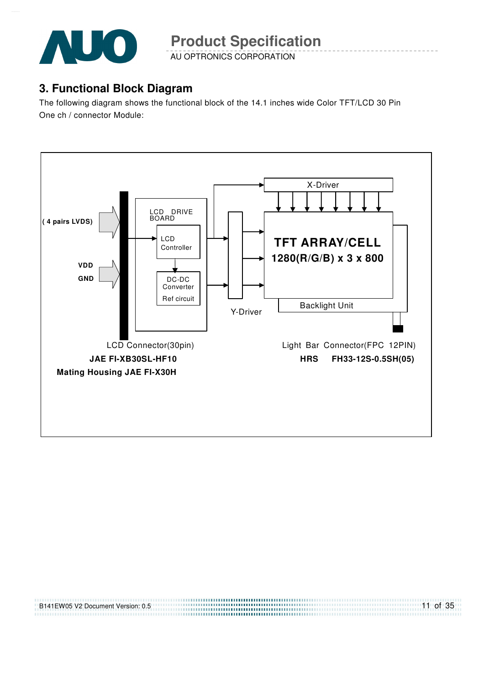

AU OPTRONICS CORPORATION

### **3. Functional Block Diagram**

The following diagram shows the functional block of the 14.1 inches wide Color TFT/LCD 30 Pin One ch / connector Module:



................................ 

B141EW05 V2 Document Version: 0.5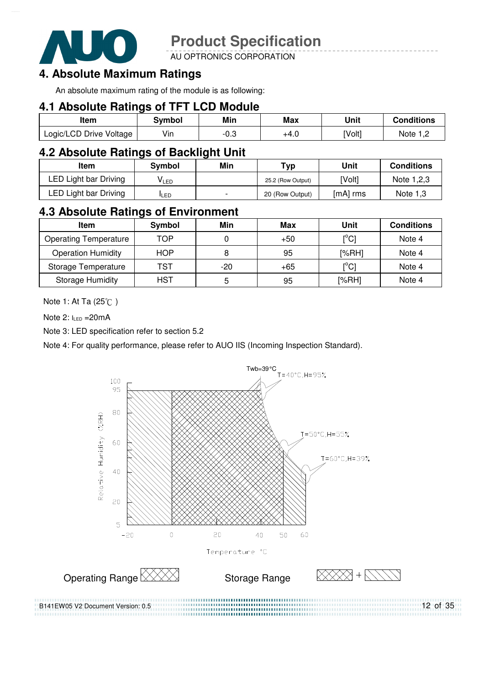

AU OPTRONICS CORPORATION

### **4. Absolute Maximum Ratings**

An absolute maximum rating of the module is as following:

#### **4.1 Absolute Ratings of TFT LCD Module**

| Item                    | Svmbol | Min  | <b>Max</b> | Unit   | <b>Conditions</b> |
|-------------------------|--------|------|------------|--------|-------------------|
| Logic/LCD Drive Voltage | Vin    | ن.∪- | +4.0       | [Volt] | Note              |

#### **4.2 Absolute Ratings of Backlight Unit**

| ltem                  | Svmbol       | Min                      | Typ               | Unit     | <b>Conditions</b> |
|-----------------------|--------------|--------------------------|-------------------|----------|-------------------|
| LED Light bar Driving | VLED         |                          | 25.2 (Row Output) | [Volt]   | Note 1,2,3        |
| LED Light bar Driving | <b>I</b> LED | $\overline{\phantom{0}}$ | 20 (Row Output)   | [mA] rms | Note $1,3$        |

### **4.3 Absolute Ratings of Environment**

| <b>Item</b>                  | Symbol     | Min   | Max   | Unit                                    | <b>Conditions</b> |
|------------------------------|------------|-------|-------|-----------------------------------------|-------------------|
| <b>Operating Temperature</b> | TOP        |       | $+50$ | $\mathsf{I}^\circ\mathsf{C}$            | Note 4            |
| <b>Operation Humidity</b>    | <b>HOP</b> | 8     | 95    | [%RH]                                   | Note 4            |
| Storage Temperature          | TST        | $-20$ | $+65$ | $\mathsf{I}^\circ\mathsf{C} \mathsf{I}$ | Note 4            |
| <b>Storage Humidity</b>      | <b>HST</b> | 5     | 95    | [%RH]                                   | Note 4            |

Note 1: At Ta (25°C)

Note  $2: I_{LED} = 20mA$ 

Note 3: LED specification refer to section 5.2

Note 4: For quality performance, please refer to AUO IIS (Incoming Inspection Standard).



12 of 35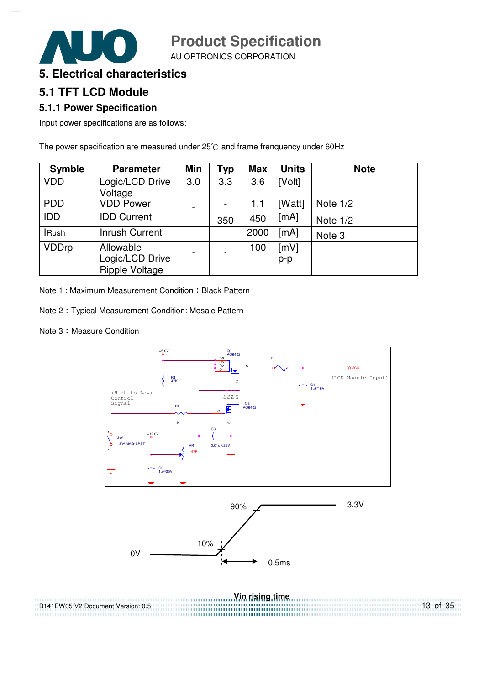AU OPTRONICS CORPORATION

#### **5. Electrical characteristics**

### **5.1 TFT LCD Module**

#### **5.1.1 Power Specification**

Input power specifications are as follows;

The power specification are measured under  $25^{\circ}$ C and frame frenquency under 60Hz

| <b>Symble</b> | <b>Parameter</b>                                      | <b>Min</b>               | Typ | <b>Max</b> | <b>Units</b> | <b>Note</b> |
|---------------|-------------------------------------------------------|--------------------------|-----|------------|--------------|-------------|
| <b>VDD</b>    | Logic/LCD Drive<br>Voltage                            | 3.0                      | 3.3 | 3.6        | [Volt]       |             |
| <b>PDD</b>    | <b>VDD Power</b>                                      | -                        |     | 1.1        | [Watt]       | Note $1/2$  |
| IDD           | <b>IDD Current</b>                                    | $\overline{\phantom{a}}$ | 350 | 450        | [mA]         | Note $1/2$  |
| <b>IRush</b>  | <b>Inrush Current</b>                                 | $\overline{\phantom{a}}$ |     | 2000       | [mA]         | Note 3      |
| <b>VDDrp</b>  | Allowable<br>Logic/LCD Drive<br><b>Ripple Voltage</b> | $\overline{\phantom{a}}$ |     | 100        | [mV]<br>p-p  |             |

Note 1: Maximum Measurement Condition: Black Pattern

Note 2 : Typical Measurement Condition: Mosaic Pattern

Note 3: Measure Condition



13 of 35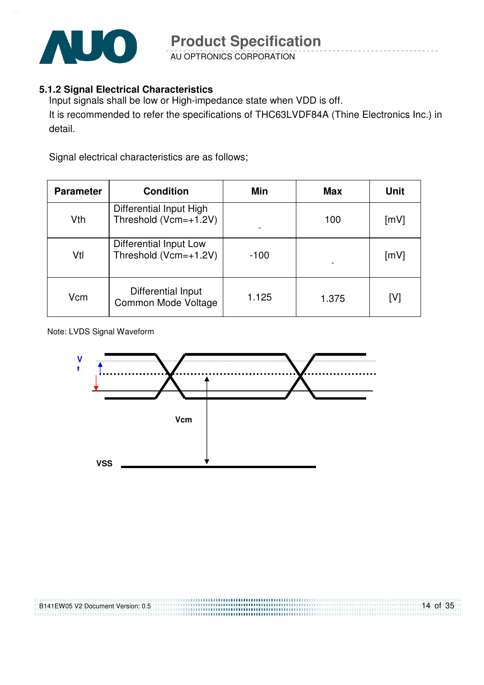

AU OPTRONICS CORPORATION

#### **5.1.2 Signal Electrical Characteristics**

Input signals shall be low or High-impedance state when VDD is off. It is recommended to refer the specifications of THC63LVDF84A (Thine Electronics Inc.) in detail.

Signal electrical characteristics are as follows;

| <b>Parameter</b> | <b>Condition</b>                                 | Min    | <b>Max</b> | <b>Unit</b> |
|------------------|--------------------------------------------------|--------|------------|-------------|
| Vth              | Differential Input High<br>Threshold (Vcm=+1.2V) |        | 100        | [mV]        |
| Vtl              | Differential Input Low<br>Threshold (Vcm=+1.2V)  | $-100$ |            | [mV]        |
| Vcm              | Differential Input<br>Common Mode Voltage        | 1.125  | 1.375      | [V]         |

Note: LVDS Signal Waveform

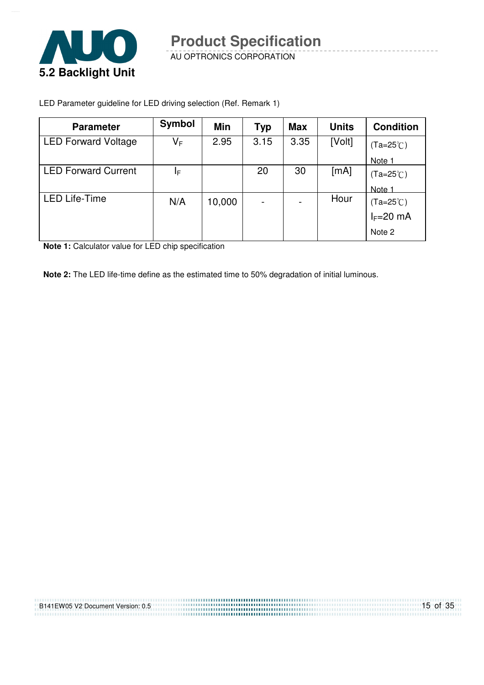

AU OPTRONICS CORPORATION

LED Parameter guideline for LED driving selection (Ref. Remark 1)

| <b>Parameter</b>           | <b>Symbol</b> | Min    | Typ  | <b>Max</b> | <b>Units</b> | <b>Condition</b>   |
|----------------------------|---------------|--------|------|------------|--------------|--------------------|
| <b>LED Forward Voltage</b> | VF            | 2.95   | 3.15 | 3.35       | [Volt]       | $(Ta=25^{\circ}C)$ |
|                            |               |        |      |            |              | Note 1             |
| <b>LED Forward Current</b> | ΙF            |        | 20   | 30         | [mA]         | $(Ta=25^{\circ}C)$ |
|                            |               |        |      |            |              | Note 1             |
| <b>LED Life-Time</b>       | N/A           | 10,000 |      |            | Hour         | (Ta=25℃)           |
|                            |               |        |      |            |              | $I_F=20$ mA        |
|                            |               |        |      |            |              | Note 2             |

**Note 1:** Calculator value for LED chip specification

**Note 2:** The LED life-time define as the estimated time to 50% degradation of initial luminous.

| B141EW05 V2 Document Version: 0.5 | $15$ of $35$ |
|-----------------------------------|--------------|
|                                   |              |
|                                   |              |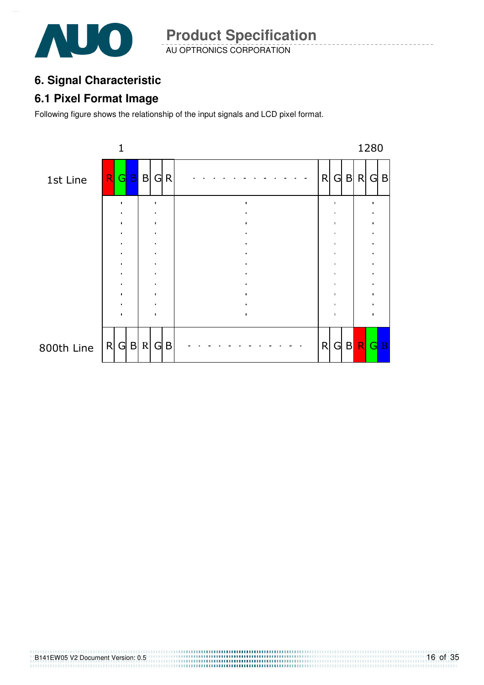

AU OPTRONICS CORPORATION **Product Specification** 

### **6. Signal Characteristic**

### **6.1 Pixel Format Image**

Following figure shows the relationship of the input signals and LCD pixel format.

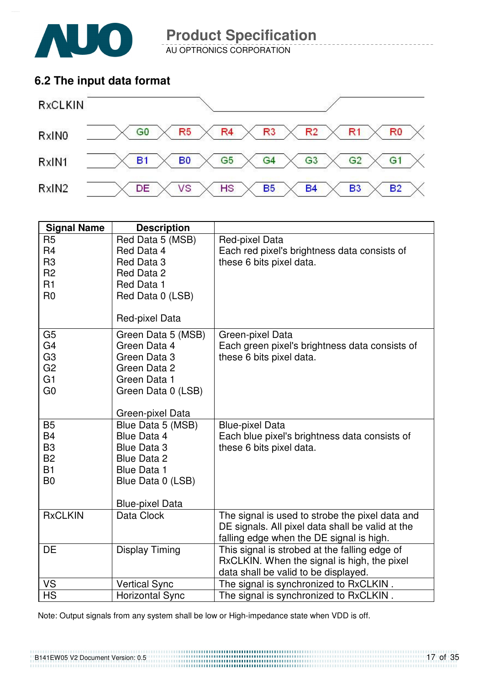

AU OPTRONICS CORPORATION

### **6.2 The input data format**



| <b>Signal Name</b>                                                                                       | <b>Description</b>                                                                                                                                             |                                                                                                                                                 |
|----------------------------------------------------------------------------------------------------------|----------------------------------------------------------------------------------------------------------------------------------------------------------------|-------------------------------------------------------------------------------------------------------------------------------------------------|
| R <sub>5</sub><br>R <sub>4</sub><br>R <sub>3</sub><br>R <sub>2</sub><br>R <sub>1</sub><br>R <sub>0</sub> | Red Data 5 (MSB)<br>Red Data 4<br>Red Data 3<br>Red Data 2<br>Red Data 1<br>Red Data 0 (LSB)<br>Red-pixel Data                                                 | Red-pixel Data<br>Each red pixel's brightness data consists of<br>these 6 bits pixel data.                                                      |
| G <sub>5</sub><br>G <sub>4</sub><br>G <sub>3</sub><br>G <sub>2</sub><br>G <sub>1</sub><br>G <sub>0</sub> | Green Data 5 (MSB)<br>Green Data 4<br>Green Data 3<br>Green Data 2<br>Green Data 1<br>Green Data 0 (LSB)                                                       | Green-pixel Data<br>Each green pixel's brightness data consists of<br>these 6 bits pixel data.                                                  |
| <b>B5</b><br><b>B4</b><br>B <sub>3</sub><br><b>B2</b><br><b>B1</b><br>B <sub>0</sub>                     | Green-pixel Data<br>Blue Data 5 (MSB)<br>Blue Data 4<br><b>Blue Data 3</b><br><b>Blue Data 2</b><br>Blue Data 1<br>Blue Data 0 (LSB)<br><b>Blue-pixel Data</b> | <b>Blue-pixel Data</b><br>Each blue pixel's brightness data consists of<br>these 6 bits pixel data.                                             |
| <b>RxCLKIN</b>                                                                                           | Data Clock                                                                                                                                                     | The signal is used to strobe the pixel data and<br>DE signals. All pixel data shall be valid at the<br>falling edge when the DE signal is high. |
| DE                                                                                                       | <b>Display Timing</b>                                                                                                                                          | This signal is strobed at the falling edge of<br>RxCLKIN. When the signal is high, the pixel<br>data shall be valid to be displayed.            |
| VS                                                                                                       | <b>Vertical Sync</b>                                                                                                                                           | The signal is synchronized to RxCLKIN.                                                                                                          |
| <b>HS</b>                                                                                                | <b>Horizontal Sync</b>                                                                                                                                         | The signal is synchronized to RxCLKIN.                                                                                                          |

Note: Output signals from any system shall be low or High-impedance state when VDD is off.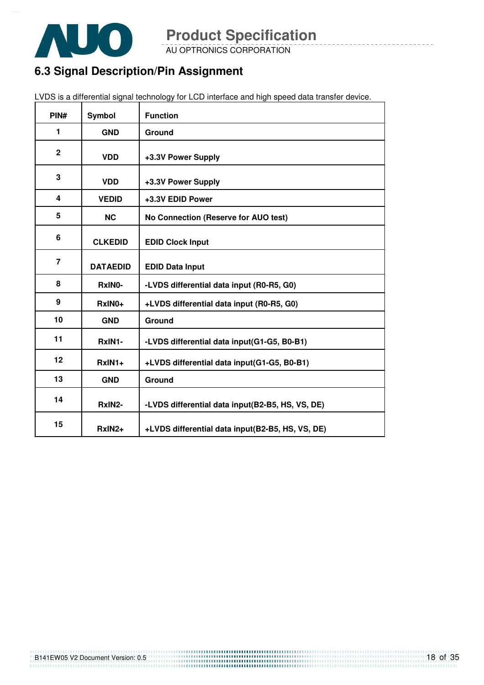

AU OPTRONICS CORPORATION

### **6.3 Signal Description/Pin Assignment**

| PIN#           | <b>Symbol</b>      | <b>Function</b>                                  |
|----------------|--------------------|--------------------------------------------------|
| 1              | <b>GND</b>         | Ground                                           |
| $\overline{2}$ | <b>VDD</b>         | +3.3V Power Supply                               |
| 3              | <b>VDD</b>         | +3.3V Power Supply                               |
| 4              | <b>VEDID</b>       | +3.3V EDID Power                                 |
| 5              | <b>NC</b>          | No Connection (Reserve for AUO test)             |
| 6              | <b>CLKEDID</b>     | <b>EDID Clock Input</b>                          |
| $\overline{7}$ | <b>DATAEDID</b>    | <b>EDID Data Input</b>                           |
| 8              | RxIN0-             | -LVDS differential data input (R0-R5, G0)        |
| 9              | RxIN0+             | +LVDS differential data input (R0-R5, G0)        |
| 10             | <b>GND</b>         | Ground                                           |
| 11             | RxIN1-             | -LVDS differential data input(G1-G5, B0-B1)      |
| 12             | $RxIN1+$           | +LVDS differential data input(G1-G5, B0-B1)      |
| 13             | <b>GND</b>         | Ground                                           |
| 14             | RxIN2-             | -LVDS differential data input(B2-B5, HS, VS, DE) |
| 15             | RxIN <sub>2+</sub> | +LVDS differential data input(B2-B5, HS, VS, DE) |

LVDS is a differential signal technology for LCD interface and high speed data transfer device.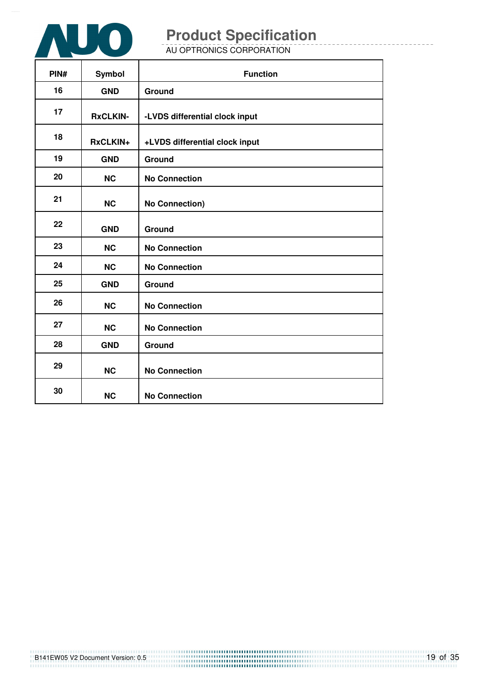

AU OPTRONICS CORPORATION

| PIN# | Symbol          | <b>Function</b>                |
|------|-----------------|--------------------------------|
| 16   | <b>GND</b>      | Ground                         |
| 17   | <b>RxCLKIN-</b> | -LVDS differential clock input |
| 18   | RxCLKIN+        | +LVDS differential clock input |
| 19   | <b>GND</b>      | Ground                         |
| 20   | <b>NC</b>       | <b>No Connection</b>           |
| 21   | <b>NC</b>       | <b>No Connection)</b>          |
| 22   | <b>GND</b>      | Ground                         |
| 23   | <b>NC</b>       | <b>No Connection</b>           |
| 24   | <b>NC</b>       | <b>No Connection</b>           |
| 25   | <b>GND</b>      | Ground                         |
| 26   | <b>NC</b>       | <b>No Connection</b>           |
| 27   | <b>NC</b>       | <b>No Connection</b>           |
| 28   | <b>GND</b>      | Ground                         |
| 29   | <b>NC</b>       | <b>No Connection</b>           |
| 30   | <b>NC</b>       | <b>No Connection</b>           |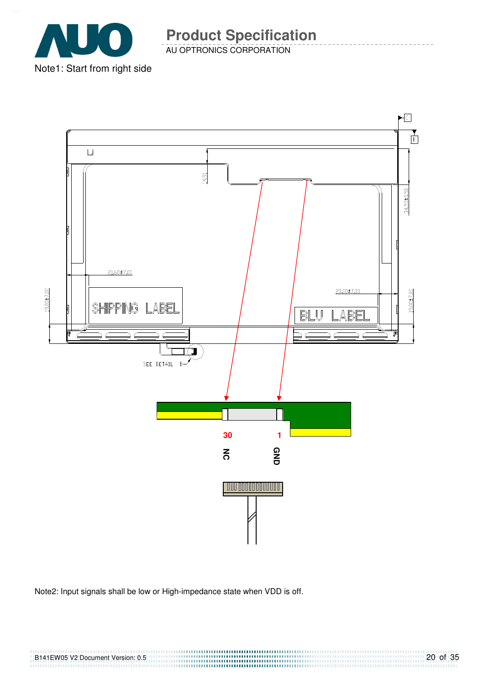

AU OPTRONICS CORPORATION **Product Specification** 

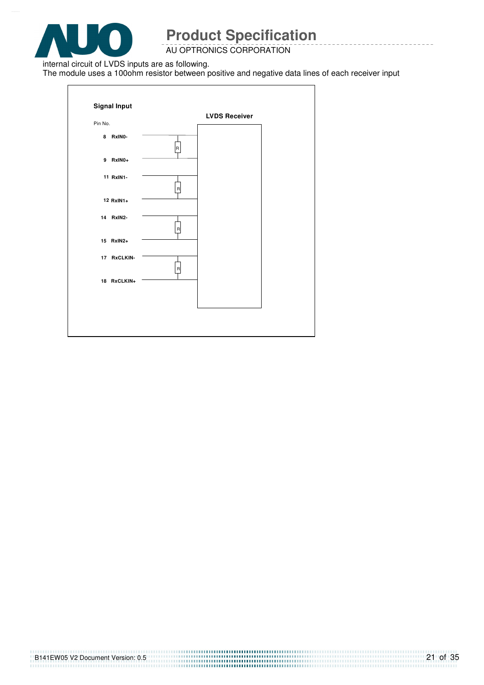

#### AU OPTRONICS CORPORATION

internal circuit of LVDS inputs are as following.

The module uses a 100ohm resistor between positive and negative data lines of each receiver input

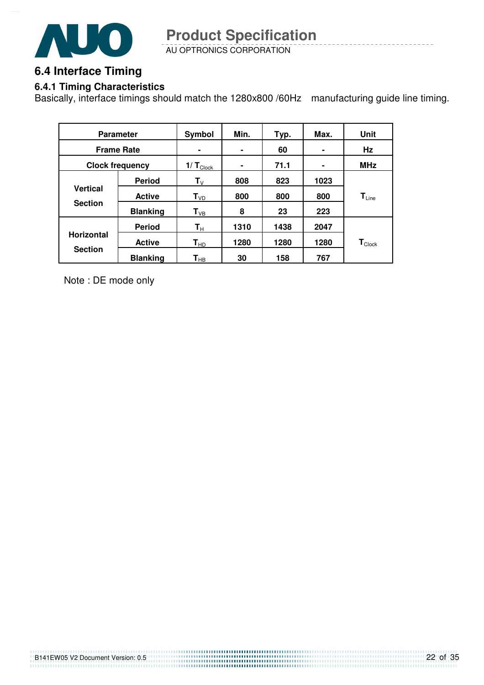

AU OPTRONICS CORPORATION **Product Specification** 

### **6.4 Interface Timing**

#### **6.4.1 Timing Characteristics**

Basically, interface timings should match the 1280x800 /60Hz manufacturing guide line timing.

| <b>Parameter</b>       |                 | Symbol                        | Min. | Typ. | Max. | Unit                         |
|------------------------|-----------------|-------------------------------|------|------|------|------------------------------|
| <b>Frame Rate</b>      |                 |                               | ۰    | 60   |      | Hz                           |
| <b>Clock frequency</b> |                 | $1/\mathbf{T}_{\text{Clock}}$ | ۰    | 71.1 | ۰    | <b>MHz</b>                   |
|                        | <b>Period</b>   | $T_{V}$                       | 808  | 823  | 1023 |                              |
| <b>Vertical</b>        | <b>Active</b>   | T <sub>VD</sub>               | 800  | 800  | 800  | $\mathbf{T}_{\mathsf{Line}}$ |
| <b>Section</b>         | <b>Blanking</b> | $T_{VB}$                      | 8    | 23   | 223  |                              |
|                        | <b>Period</b>   | $\mathsf{T}_\mathsf{H}$       | 1310 | 1438 | 2047 |                              |
| <b>Horizontal</b>      | <b>Active</b>   | $\mathsf{T}_{\mathsf{HD}}$    | 1280 | 1280 | 1280 | $\mathbf{T}_{\text{Clock}}$  |
| <b>Section</b>         | <b>Blanking</b> | $\mathsf{T}_{\mathsf{HB}}$    | 30   | 158  | 767  |                              |

Note : DE mode only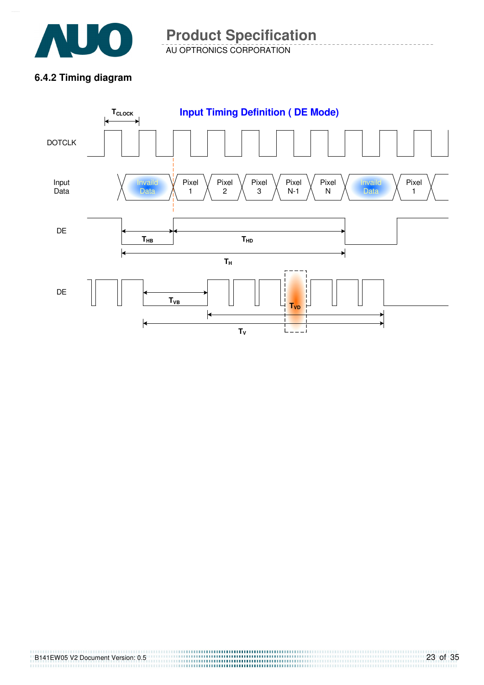

AU OPTRONICS CORPORATION **Product Specification** 

### **6.4.2 Timing diagram**

B141EW05 V2 Document Version: 0.5

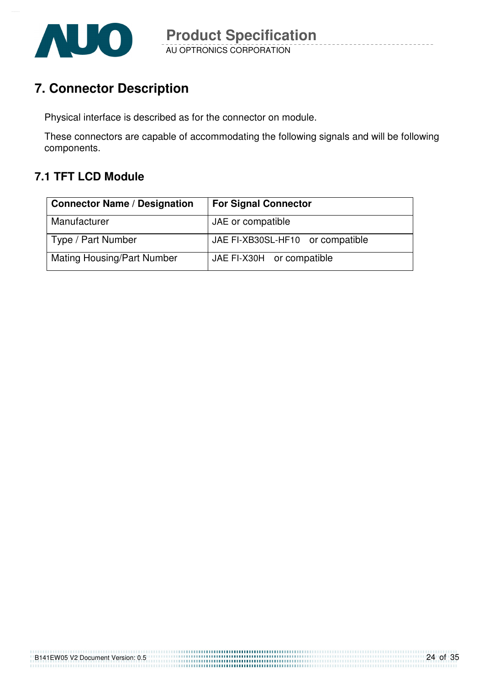

### **7. Connector Description**

Physical interface is described as for the connector on module.

These connectors are capable of accommodating the following signals and will be following components.

### **7.1 TFT LCD Module**

| <b>Connector Name / Designation</b> | <b>For Signal Connector</b>      |
|-------------------------------------|----------------------------------|
| Manufacturer                        | JAE or compatible                |
| Type / Part Number                  | JAE FI-XB30SL-HF10 or compatible |
| <b>Mating Housing/Part Number</b>   | JAE FI-X30H or compatible        |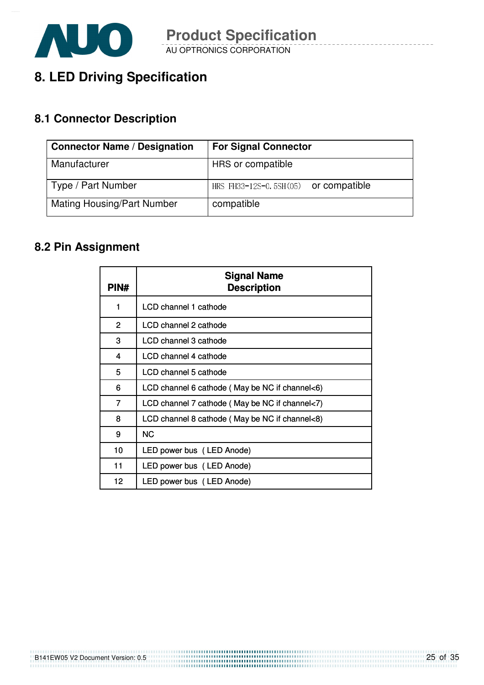

### **8. LED Driving Specification**

### **8.1 Connector Description**

| <b>Connector Name / Designation</b> | <b>For Signal Connector</b>             |
|-------------------------------------|-----------------------------------------|
| Manufacturer                        | HRS or compatible                       |
| Type / Part Number                  | HRS FH33-12S-0.5SH $(05)$ or compatible |
| <b>Mating Housing/Part Number</b>   | compatible                              |

### **8.2 Pin Assignment**

| PIN#           | <b>Signal Name</b><br><b>Description</b>       |
|----------------|------------------------------------------------|
| 1              | LCD channel 1 cathode                          |
| $\overline{2}$ | LCD channel 2 cathode                          |
| 3              | LCD channel 3 cathode                          |
| 4              | LCD channel 4 cathode                          |
| 5.             | LCD channel 5 cathode                          |
| 6              | LCD channel 6 cathode (May be NC if channel<6) |
| 7              | LCD channel 7 cathode (May be NC if channel<7) |
| 8              | LCD channel 8 cathode (May be NC if channel<8) |
| 9              | <b>NC</b>                                      |
| 10             | LED power bus (LED Anode)                      |
| 11             | LED power bus (LED Anode)                      |
| 12             | LED power bus (LED Anode)                      |

B141EW05 V2 Document Version: 0.5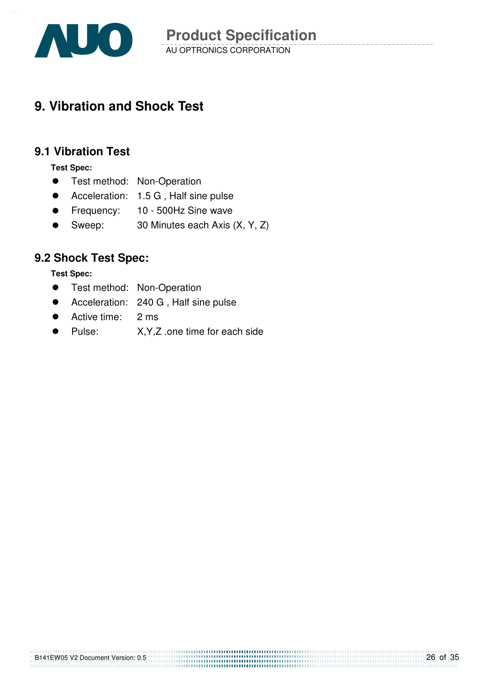

### **9. Vibration and Shock Test**

#### **9.1 Vibration Test**

**Test Spec:** 

- **•** Test method: Non-Operation
- Acceleration: 1.5 G , Half sine pulse
- **•** Frequency: 10 500Hz Sine wave
- Sweep: 30 Minutes each Axis (X, Y, Z)

### **9.2 Shock Test Spec:**

**Test Spec:** 

- **•** Test method: Non-Operation
- Acceleration: 240 G , Half sine pulse
- Active time: 2 ms
- Pulse: X,Y,Z .one time for each side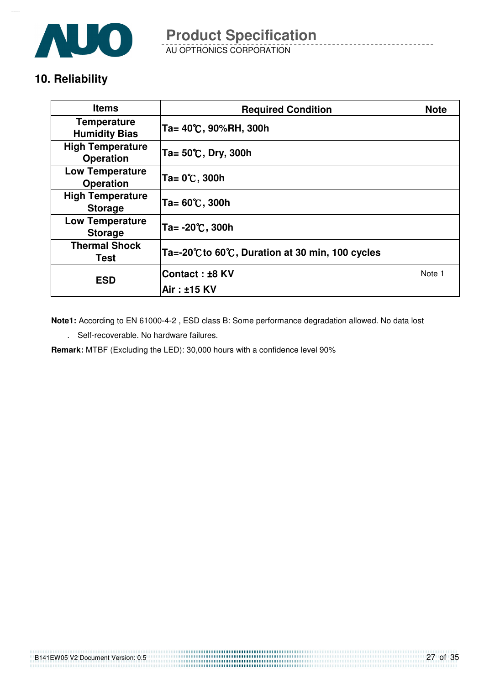

AU OPTRONICS CORPORATION

### **10. Reliability**

| <b>Items</b>                                | <b>Required Condition</b>                     | <b>Note</b> |
|---------------------------------------------|-----------------------------------------------|-------------|
| <b>Temperature</b><br><b>Humidity Bias</b>  | Ta= 40℃, 90%RH, 300h                          |             |
| <b>High Temperature</b><br><b>Operation</b> | Ta= 50℃, Dry, 300h                            |             |
| <b>Low Temperature</b><br><b>Operation</b>  | Ta= 0℃, 300h                                  |             |
| <b>High Temperature</b><br><b>Storage</b>   | Ta= 60℃, 300h                                 |             |
| <b>Low Temperature</b><br><b>Storage</b>    | Ta= -20℃, 300h                                |             |
| <b>Thermal Shock</b><br>Test                | Ta=-20℃to 60℃, Duration at 30 min, 100 cycles |             |
| <b>ESD</b>                                  | <b>Contact:±8 KV</b>                          | Note 1      |
|                                             | Air : ±15 KV                                  |             |

**Note1:** According to EN 61000-4-2 , ESD class B: Some performance degradation allowed. No data lost

. Self-recoverable. No hardware failures.

**Remark:** MTBF (Excluding the LED): 30,000 hours with a confidence level 90%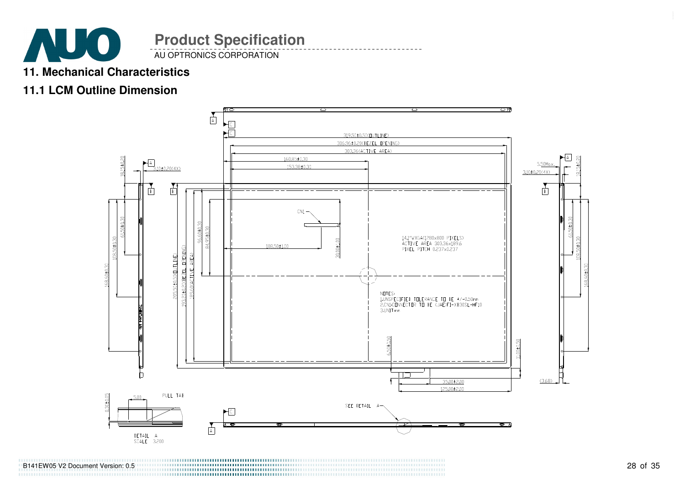

AU OPTRONICS CORPORATION

### **11. Mechanical Characteristics**

### **11.1 LCM Outline Dimension**



B141EW05 V2 Document Version: 0.5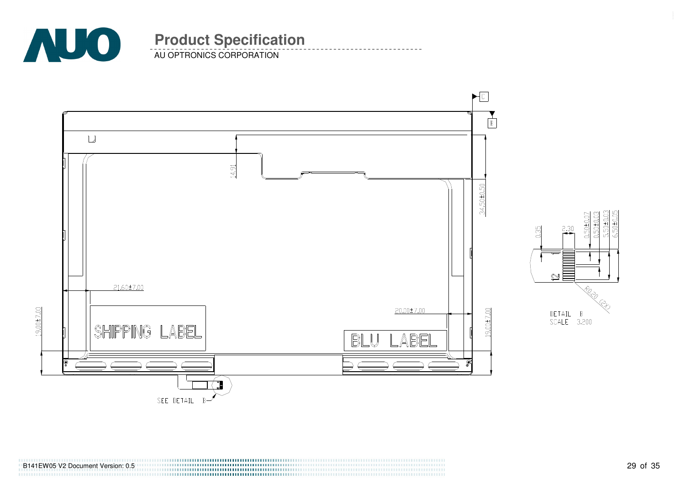

AU OPTRONICS CORPORATION



5.50±0.03<br>6.50±0.05  $0.50 \pm 0.03$  $0.50 + 0.07$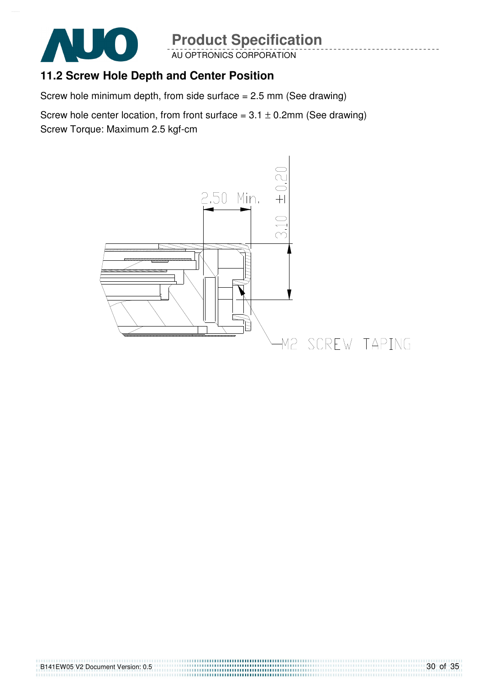

AU OPTRONICS CORPORATION

### **11.2 Screw Hole Depth and Center Position**

Screw hole minimum depth, from side surface = 2.5 mm (See drawing)

Screw hole center location, from front surface =  $3.1 \pm 0.2$ mm (See drawing) Screw Torque: Maximum 2.5 kgf-cm

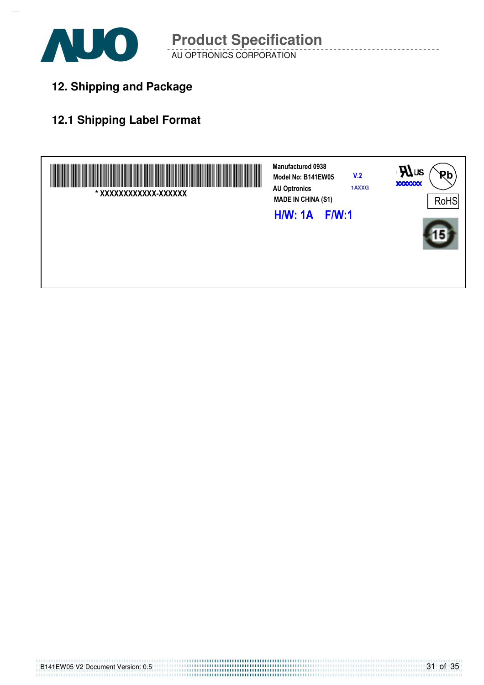

AU OPTRONICS CORPORATION **Product Specification** 

**12. Shipping and Package**

### **12.1 Shipping Label Format**

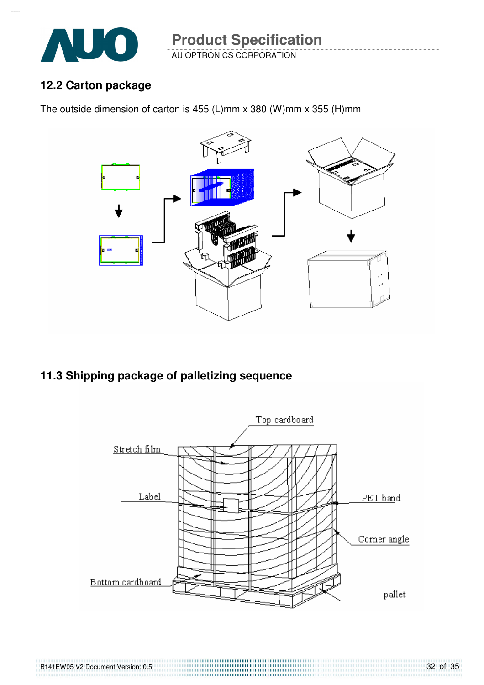

AU OPTRONICS CORPORATION **Product Specification** 

### **12.2 Carton package**

The outside dimension of carton is 455 (L)mm x 380 (W)mm x 355 (H)mm



**11.3 Shipping package of palletizing sequence** 

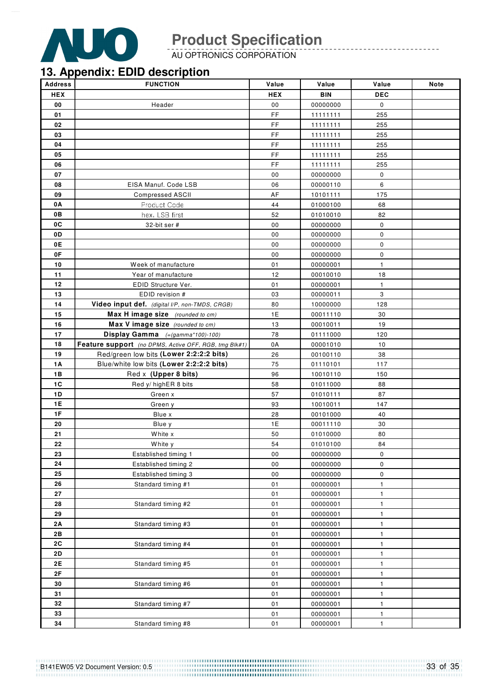

AU OPTRONICS CORPORATION

### **13. Appendix: EDID description**

| <b>Address</b> | <b>FUNCTION</b>                                       | Value      | Value      | Value        | Note |
|----------------|-------------------------------------------------------|------------|------------|--------------|------|
| <b>HEX</b>     |                                                       | <b>HEX</b> | <b>BIN</b> | <b>DEC</b>   |      |
| 00             | Header                                                | 00         | 00000000   | $\mathbf 0$  |      |
| 01             |                                                       | <b>FF</b>  | 11111111   | 255          |      |
| 02             |                                                       | FF         | 11111111   | 255          |      |
| 03             |                                                       | FF.        | 11111111   | 255          |      |
| 04             |                                                       | FF         | 11111111   | 255          |      |
| 05             |                                                       | FF.        | 11111111   | 255          |      |
| 06             |                                                       | FF         | 11111111   | 255          |      |
| 07             |                                                       | 00         | 00000000   | 0            |      |
| 08             | EISA Manuf. Code LSB                                  | 06         | 00000110   | 6            |      |
| 09             | <b>Compressed ASCII</b>                               | AF         | 10101111   | 175          |      |
| 0A             | Product Code                                          | 44         | 01000100   | 68           |      |
| 0В             | hex, LSB first                                        | 52         | 01010010   | 82           |      |
| 0C             | 32-bit ser #                                          | 00         | 00000000   | 0            |      |
| 0D             |                                                       | 00         | 00000000   | 0            |      |
| 0E             |                                                       | 00         | 00000000   | 0            |      |
| 0F             |                                                       | 00         | 00000000   | 0            |      |
| 10             | Week of manufacture                                   | 01         | 00000001   | $\mathbf{1}$ |      |
| 11             | Year of manufacture                                   | 12         | 00010010   | 18           |      |
| 12             | EDID Structure Ver.                                   | 01         | 00000001   | $\mathbf{1}$ |      |
| 13             | EDID revision #                                       | 03         | 00000011   | 3            |      |
| 14             | Video input def. (digital I/P, non-TMDS, CRGB)        | 80         | 10000000   | 128          |      |
| 15             | Max H image size (rounded to cm)                      | 1E         | 00011110   | 30           |      |
| 16             | Max V image size (rounded to cm)                      | 13         | 00010011   | 19           |      |
| 17             | Display Gamma $(=(gamma * 100) - 100)$                | 78         | 01111000   | 120          |      |
| 18             | Feature support (no DPMS, Active OFF, RGB, tmg Blk#1) | 0A         | 00001010   | 10           |      |
| 19             | Red/green low bits (Lower 2:2:2:2 bits)               | 26         | 00100110   | 38           |      |
| 1A             | Blue/white low bits (Lower 2:2:2:2 bits)              | 75         | 01110101   | 117          |      |
| 1B             | Red x (Upper 8 bits)                                  | 96         | 10010110   | 150          |      |
| 1C             | Red y/ highER 8 bits                                  | 58         | 01011000   | 88           |      |
| 1D             | Green x                                               | 57         | 01010111   | 87           |      |
| 1E             | Green y                                               | 93         | 10010011   | 147          |      |
| 1F             | Blue x                                                | 28         | 00101000   | 40           |      |
| 20             | Blue y                                                | 1E         | 00011110   | 30           |      |
| 21             | White x                                               | 50         | 01010000   | 80           |      |
| 22             | White y                                               | 54         | 01010100   | 84           |      |
| 23             | Established timing 1                                  | 00         | 00000000   | 0            |      |
| 24             | Established timing 2                                  | 00         | 00000000   | $\pmb{0}$    |      |
| 25             | Established timing 3                                  | ${\bf 00}$ | 00000000   | 0            |      |
| 26             | Standard timing #1                                    | 01         | 00000001   | $\mathbf{1}$ |      |
| 27             |                                                       | 01         | 00000001   | $\mathbf{1}$ |      |
| 28             | Standard timing #2                                    | 01         | 00000001   | $\mathbf{1}$ |      |
| 29             |                                                       | 01         | 00000001   | 1            |      |
| 2A             | Standard timing #3                                    | 01         | 00000001   | $\mathbf{1}$ |      |
| 2B             |                                                       | 01         | 00000001   | $\mathbf{1}$ |      |
| 2C             | Standard timing #4                                    | 01         | 00000001   | $\mathbf{1}$ |      |
| 2D             |                                                       | 01         | 00000001   | $\mathbf{1}$ |      |
| 2E             | Standard timing #5                                    | 01         | 00000001   | $\mathbf{1}$ |      |
| 2F             |                                                       | 01         | 00000001   | $\mathbf{1}$ |      |
| 30             | Standard timing #6                                    | 01         | 00000001   | $\mathbf{1}$ |      |
| 31             |                                                       | 01         | 00000001   | $\mathbf{1}$ |      |
| 32             | Standard timing #7                                    | 01         | 00000001   | $\mathbf{1}$ |      |
| 33             |                                                       | 01         | 00000001   | $\mathbf{1}$ |      |
| 34             | Standard timing #8                                    | 01         | 00000001   | $\mathbf{1}$ |      |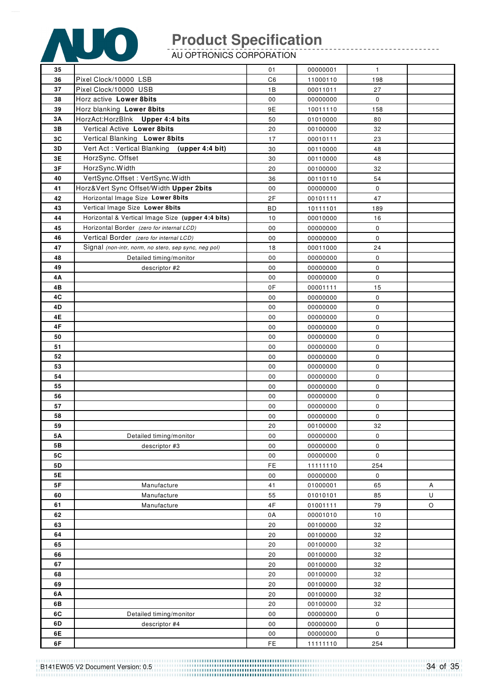

AU OPTRONICS CORPORATION

| 35   |                                                      | 01             | 00000001             | $\mathbf{1}$ |         |
|------|------------------------------------------------------|----------------|----------------------|--------------|---------|
| 36   | Pixel Clock/10000 LSB                                | C <sub>6</sub> | 11000110             | 198          |         |
| 37   | Pixel Clock/10000 USB                                | 1B             | 00011011             | 27           |         |
| 38   | Horz active Lower 8bits                              | 00             | 00000000             | 0            |         |
| 39   | Horz blanking Lower 8bits                            | 9E             | 10011110             | 158          |         |
| 3A   | HorzAct:HorzBlnk Upper 4:4 bits                      | 50             | 01010000             | 80           |         |
| 3B   | Vertical Active Lower 8bits                          | 20             | 00100000             | 32           |         |
| 3C   | Vertical Blanking Lower 8bits                        | 17             |                      | 23           |         |
| 3D   | Vert Act: Vertical Blanking<br>(upper 4:4 bit)       | 30             | 00010111             | 48           |         |
| 3E   | HorzSync. Offset                                     | 30             | 00110000<br>00110000 | 48           |         |
| 3F   |                                                      |                |                      |              |         |
|      | HorzSync.Width                                       | 20             | 00100000             | 32           |         |
| 40   | VertSync.Offset: VertSync.Width                      | 36             | 00110110             | 54           |         |
| 41   | Horz‖ Sync Offset/Width Upper 2bits                  | 00             | 00000000             | $\mathbf 0$  |         |
| 42   | Horizontal Image Size Lower 8bits                    | 2F             | 00101111             | 47           |         |
| 43   | Vertical Image Size Lower 8bits                      | <b>BD</b>      | 10111101             | 189          |         |
| 44   | Horizontal & Vertical Image Size (upper 4:4 bits)    | 10             | 00010000             | 16           |         |
| 45   | Horizontal Border (zero for internal LCD)            | 00             | 00000000             | 0            |         |
| 46   | Vertical Border (zero for internal LCD)              | $00\,$         | 00000000             | 0            |         |
| 47   | Signal (non-intr, norm, no stero, sep sync, neg pol) | 18             | 00011000             | 24           |         |
| 48   | Detailed timing/monitor                              | ${\bf 00}$     | 00000000             | $\mathbf 0$  |         |
| 49   | descriptor #2                                        | 00             | 00000000             | 0            |         |
| 4Α   |                                                      | 00             | 00000000             | 0            |         |
| 4B   |                                                      | 0F             | 00001111             | 15           |         |
| 4C   |                                                      | $00\,$         | 00000000             | 0            |         |
| 4D   |                                                      | ${\bf 00}$     | 00000000             | $\mathsf 0$  |         |
| 4E   |                                                      | ${\bf 00}$     | 00000000             | $\pmb{0}$    |         |
| 4F   |                                                      | ${\bf 00}$     | 00000000             | $\pmb{0}$    |         |
| 50   |                                                      | $00\,$         | 00000000             | 0            |         |
| 51   |                                                      | $00\,$         | 00000000             | 0            |         |
| 52   |                                                      | 00             | 00000000             | $\mathbf 0$  |         |
| 53   |                                                      | 00             | 00000000             | $\mathbf 0$  |         |
| 54   |                                                      | 00             | 00000000             | $\mathbf 0$  |         |
| 55   |                                                      | $00\,$         | 00000000             | 0            |         |
| 56   |                                                      | $00\,$         | 00000000             | $\mathbf 0$  |         |
| 57   |                                                      | $00\,$         | 00000000             | 0            |         |
| 58   |                                                      | 00             | 00000000             | $\mathbf 0$  |         |
| 59   |                                                      | 20             | 00100000             | 32           |         |
| 5Α   | Detailed timing/monitor                              | 00             | 00000000             | 0            |         |
| 5B   | descriptor #3                                        | 00             | 00000000             | 0            |         |
| 5C   |                                                      | $00\,$         | 00000000             | 0            |         |
| 5D   |                                                      | FE             | 11111110             | 254          |         |
| 5E   |                                                      | $_{00}$        | 00000000             | $\mathsf 0$  |         |
| $5F$ | Manufacture                                          | 41             | 01000001             | 65           | Α       |
| 60   | Manufacture                                          | 55             | 01010101             | 85           | U       |
| 61   | Manufacture                                          | 4F             | 01001111             | 79           | $\circ$ |
| 62   |                                                      | 0A             | 00001010             | 10           |         |
| 63   |                                                      | 20             | 00100000             | 32           |         |
| 64   |                                                      | 20             | 00100000             | 32           |         |
| 65   |                                                      | 20             | 00100000             | 32           |         |
| 66   |                                                      | 20             | 00100000             | 32           |         |
| 67   |                                                      | 20             | 00100000             | 32           |         |
| 68   |                                                      | 20             | 00100000             | 32           |         |
| 69   |                                                      | 20             | 00100000             | 32           |         |
| 6A   |                                                      | 20             | 00100000             | 32           |         |
| 6B   |                                                      | 20             | 00100000             | 32           |         |
| 6C   | Detailed timing/monitor                              | ${\bf 00}$     | 00000000             | $\pmb{0}$    |         |
| 6D   | descriptor #4                                        | $00\,$         | 00000000             | 0            |         |
| 6E   |                                                      | $00\,$         | 00000000             | $\pmb{0}$    |         |
| 6F   |                                                      | FE             | 11111110             | 254          |         |